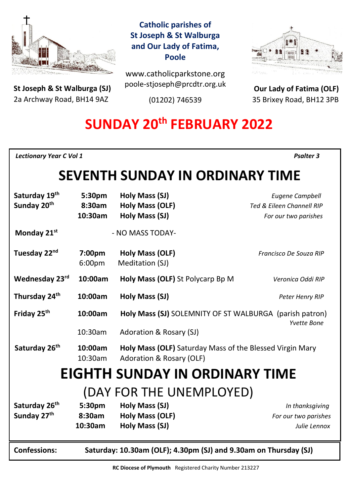

**St Joseph & St Walburga (SJ)** 2a Archway Road, BH14 9AZ 

**Catholic parishes of St Joseph & St Walburga and Our Lady of Fatima, Poole**

www.catholicparkstone.org poole-stjoseph@prcdtr.org.uk

(01202) 746539



**Our Lady of Fatima (OLF)** 35 Brixey Road, BH12 3PB

# **SUNDAY 20th FEBRUARY 2022**

*Lectionary Year C Vol 1**Psalter 3* 

# **SEVENTH SUNDAY IN ORDINARY TIME**

| Saturday 19th                         | 5:30pm                                                           | Holy Mass (SJ)                                                                       | <b>Eugene Campbell</b>    |
|---------------------------------------|------------------------------------------------------------------|--------------------------------------------------------------------------------------|---------------------------|
| Sunday 20th                           | 8:30am                                                           | <b>Holy Mass (OLF)</b>                                                               | Ted & Eileen Channell RIP |
|                                       | 10:30am                                                          | Holy Mass (SJ)                                                                       | For our two parishes      |
| Monday 21st                           |                                                                  | - NO MASS TODAY-                                                                     |                           |
| Tuesday 22 <sup>nd</sup>              | 7:00pm<br>6:00pm                                                 | <b>Holy Mass (OLF)</b><br>Meditation (SJ)                                            | Francisco De Souza RIP    |
| Wednesday 23rd                        | 10:00am                                                          | Holy Mass (OLF) St Polycarp Bp M                                                     | Veronica Oddi RIP         |
| Thursday 24th                         | 10:00am                                                          | Holy Mass (SJ)                                                                       | Peter Henry RIP           |
| Friday 25 <sup>th</sup>               | 10:00am                                                          | Holy Mass (SJ) SOLEMNITY OF ST WALBURGA (parish patron)<br><b>Yvette Bone</b>        |                           |
|                                       | 10:30am                                                          | Adoration & Rosary (SJ)                                                              |                           |
| Saturday 26 <sup>th</sup>             | 10:00am<br>10:30am                                               | Holy Mass (OLF) Saturday Mass of the Blessed Virgin Mary<br>Adoration & Rosary (OLF) |                           |
| <b>EIGHTH SUNDAY IN ORDINARY TIME</b> |                                                                  |                                                                                      |                           |
| (DAY FOR THE UNEMPLOYED)              |                                                                  |                                                                                      |                           |
| Saturday 26 <sup>th</sup>             | 5:30pm                                                           | Holy Mass (SJ)                                                                       | In thanksgiving           |
| Sunday 27th                           | 8:30am                                                           | <b>Holy Mass (OLF)</b>                                                               | For our two parishes      |
|                                       | 10:30am                                                          | Holy Mass (SJ)                                                                       | Julie Lennox              |
| <b>Confessions:</b>                   | Saturday: 10.30am (OLF); 4.30pm (SJ) and 9.30am on Thursday (SJ) |                                                                                      |                           |
|                                       |                                                                  |                                                                                      |                           |